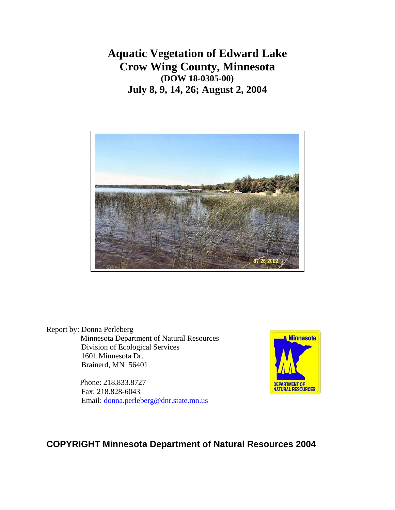**Aquatic Vegetation of Edward Lake Crow Wing County, Minnesota (DOW 18-0305-00) July 8, 9, 14, 26; August 2, 2004** 



Report by: Donna Perleberg Minnesota Department of Natural Resources Division of Ecological Services 1601 Minnesota Dr. Brainerd, MN 56401

> Phone: 218.833.8727 Fax: 218.828-6043 Email: [donna.perleberg@dnr.state.mn.us](mailto:donna.perleberg@dnr.state.mn.us)



# **COPYRIGHT Minnesota Department of Natural Resources 2004**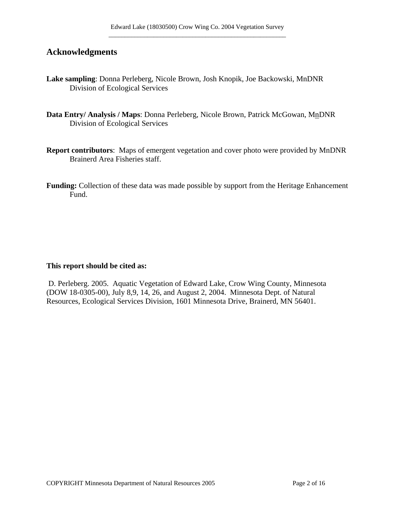# **Acknowledgments**

- **Lake sampling**: Donna Perleberg, Nicole Brown, Josh Knopik, Joe Backowski, MnDNR Division of Ecological Services
- Data Entry/ Analysis / Maps: Donna Perleberg, Nicole Brown, Patrick McGowan, MnDNR Division of Ecological Services
- **Report contributors**: Maps of emergent vegetation and cover photo were provided by MnDNR Brainerd Area Fisheries staff.
- **Funding:** Collection of these data was made possible by support from the Heritage Enhancement Fund.

### **This report should be cited as:**

 D. Perleberg. 2005. Aquatic Vegetation of Edward Lake, Crow Wing County, Minnesota (DOW 18-0305-00), July 8,9, 14, 26, and August 2, 2004. Minnesota Dept. of Natural Resources, Ecological Services Division, 1601 Minnesota Drive, Brainerd, MN 56401.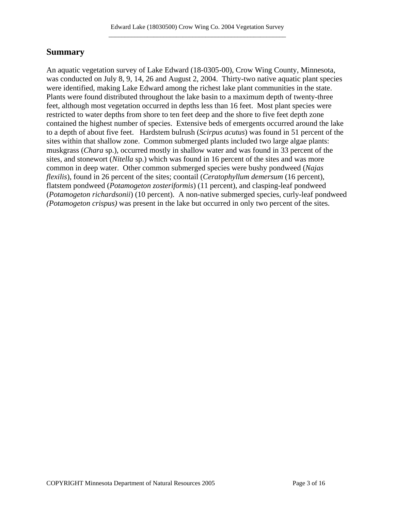# **Summary**

An aquatic vegetation survey of Lake Edward (18-0305-00), Crow Wing County, Minnesota, was conducted on July 8, 9, 14, 26 and August 2, 2004. Thirty-two native aquatic plant species were identified, making Lake Edward among the richest lake plant communities in the state. Plants were found distributed throughout the lake basin to a maximum depth of twenty-three feet, although most vegetation occurred in depths less than 16 feet. Most plant species were restricted to water depths from shore to ten feet deep and the shore to five feet depth zone contained the highest number of species. Extensive beds of emergents occurred around the lake to a depth of about five feet. Hardstem bulrush (*Scirpus acutus*) was found in 51 percent of the sites within that shallow zone. Common submerged plants included two large algae plants: muskgrass (*Chara* sp.), occurred mostly in shallow water and was found in 33 percent of the sites, and stonewort (*Nitella* sp.) which was found in 16 percent of the sites and was more common in deep water. Other common submerged species were bushy pondweed (*Najas flexilis*), found in 26 percent of the sites; coontail (*Ceratophyllum demersum* (16 percent), flatstem pondweed (*Potamogeton zosteriformis*) (11 percent), and clasping-leaf pondweed (*Potamogeton richardsonii*) (10 percent). A non-native submerged species, curly-leaf pondweed *(Potamogeton crispus)* was present in the lake but occurred in only two percent of the sites.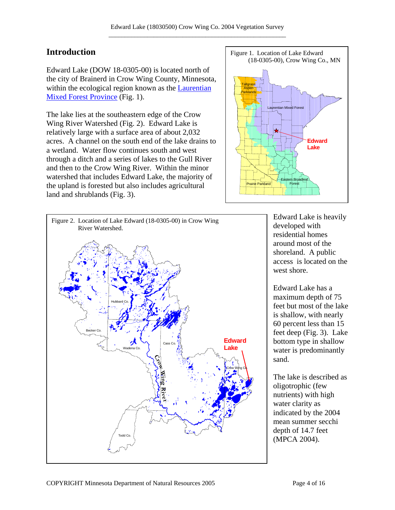Edward Lake (DOW 18-0305-00) is located north of the city of Brainerd in Crow Wing County, Minnesota, within the ecological region known as the Laurentian [Mixed Forest Province](http://www.dnr.state.mn.us/ecs/laurentian/index.html) (Fig. 1).

The lake lies at the southeastern edge of the Crow Wing River Watershed (Fig. 2). Edward Lake is relatively large with a surface area of about 2,032 acres. A channel on the south end of the lake drains to a wetland. Water flow continues south and west through a ditch and a series of lakes to the Gull River and then to the Crow Wing River. Within the minor watershed that includes Edward Lake, the majority of the upland is forested but also includes agricultural land and shrublands (Fig. 3).





Edward Lake is heavily developed with residential homes around most of the shoreland. A public access is located on the west shore.

Edward Lake has a maximum depth of 75 feet but most of the lake is shallow, with nearly 60 percent less than 15 feet deep (Fig. 3). Lake bottom type in shallow water is predominantly sand.

The lake is described as oligotrophic (few nutrients) with high water clarity as indicated by the 2004 mean summer secchi depth of 14.7 feet (MPCA 2004).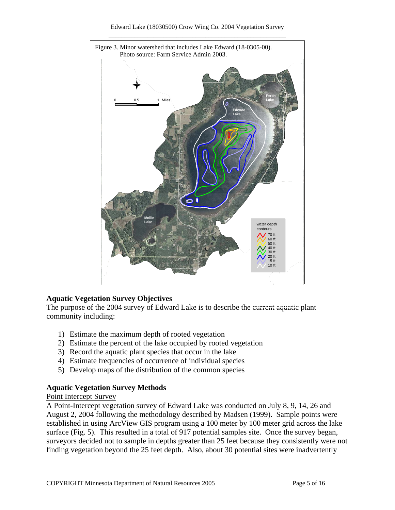

# **Aquatic Vegetation Survey Objectives**

The purpose of the 2004 survey of Edward Lake is to describe the current aquatic plant community including:

- 1) Estimate the maximum depth of rooted vegetation
- 2) Estimate the percent of the lake occupied by rooted vegetation
- 3) Record the aquatic plant species that occur in the lake
- 4) Estimate frequencies of occurrence of individual species
- 5) Develop maps of the distribution of the common species

# **Aquatic Vegetation Survey Methods**

### Point Intercept Survey

A Point-Intercept vegetation survey of Edward Lake was conducted on July 8, 9, 14, 26 and August 2, 2004 following the methodology described by Madsen (1999). Sample points were established in using ArcView GIS program using a 100 meter by 100 meter grid across the lake surface (Fig. 5). This resulted in a total of 917 potential samples site. Once the survey began, surveyors decided not to sample in depths greater than 25 feet because they consistently were not finding vegetation beyond the 25 feet depth. Also, about 30 potential sites were inadvertently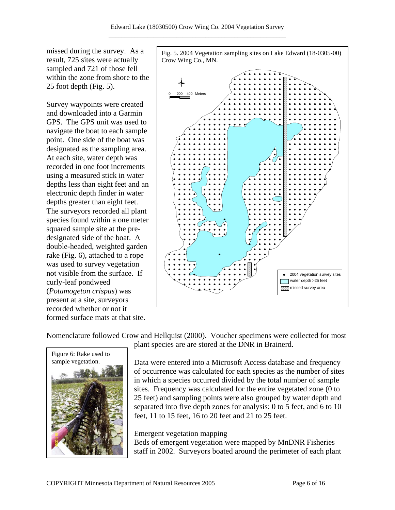missed during the survey. As a result, 725 sites were actually sampled and 721 of those fell within the zone from shore to the 25 foot depth (Fig. 5).

Survey waypoints were created and downloaded into a Garmin GPS. The GPS unit was used to navigate the boat to each sample point. One side of the boat was designated as the sampling area. At each site, water depth was recorded in one foot increments using a measured stick in water depths less than eight feet and an electronic depth finder in water depths greater than eight feet. The surveyors recorded all plant species found within a one meter squared sample site at the predesignated side of the boat. A double-headed, weighted garden rake (Fig. 6), attached to a rope was used to survey vegetation not visible from the surface. If curly-leaf pondweed (Potamogeton crispus) was present at a site, surveyors recorded whether or not it formed surface mats at that site.

Fig. 5. 2004 Vegetation sampling sites on Lake Edward (18-0305-00) Crow Wing Co., MN.



Nomenclature followed Crow and Hellquist (2000). Voucher specimens were collected for most plant species are are stored at the DNR in Brainerd.



Data were entered into a Microsoft Access database and frequency of occurrence was calculated for each species as the number of sites in which a species occurred divided by the total number of sample sites. Frequency was calculated for the entire vegetated zone (0 to 25 feet) and sampling points were also grouped by water depth and separated into five depth zones for analysis: 0 to 5 feet, and 6 to 10 feet, 11 to 15 feet, 16 to 20 feet and 21 to 25 feet.

### Emergent vegetation mapping

Beds of emergent vegetation were mapped by MnDNR Fisheries staff in 2002. Surveyors boated around the perimeter of each plant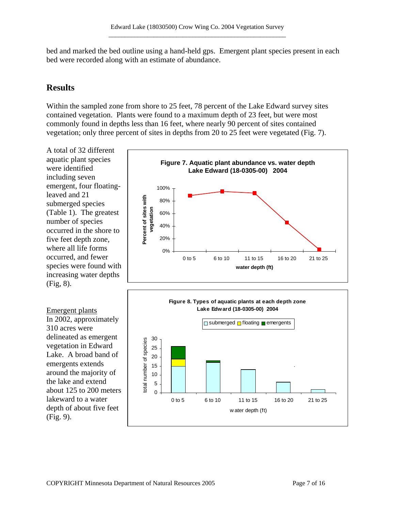bed and marked the bed outline using a hand-held gps. Emergent plant species present in each bed were recorded along with an estimate of abundance.

# **Results**

Within the sampled zone from shore to 25 feet, 78 percent of the Lake Edward survey sites contained vegetation. Plants were found to a maximum depth of 23 feet, but were most commonly found in depths less than 16 feet, where nearly 90 percent of sites contained vegetation; only three percent of sites in depths from 20 to 25 feet were vegetated (Fig. 7).

A total of 32 different aquatic plant species were identified including seven emergent, four floatingleaved and 21 submerged species (Table 1). The greatest number of species occurred in the shore to five feet depth zone, where all life forms occurred, and fewer species were found with increasing water depths (Fig, 8).

# Emergent plants In 2002, approximately 310 acres were delineated as emergent vegetation in Edward Lake. A broad band of emergents extends around the majority of the lake and extend about 125 to 200 meters lakeward to a water depth of about five feet (Fig. 9).



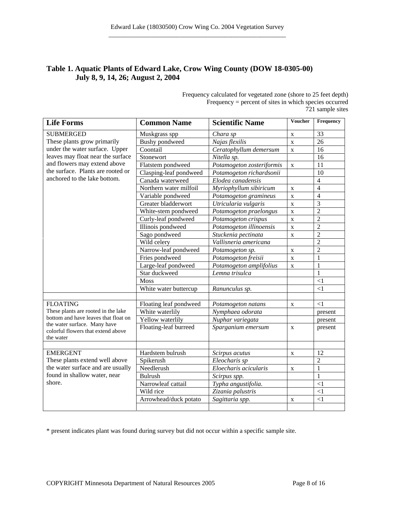# **Table 1. Aquatic Plants of Edward Lake, Crow Wing County (DOW 18-0305-00) July 8, 9, 14, 26; August 2, 2004**

| Frequency calculated for vegetated zone (shore to 25 feet depth) |
|------------------------------------------------------------------|
| Frequency $=$ percent of sites in which species occurred         |
| 721 sample sites                                                 |

| <b>Life Forms</b>                                                                                                                                                                 | <b>Common Name</b>     | <b>Scientific Name</b>    | Voucher      | Frequency      |
|-----------------------------------------------------------------------------------------------------------------------------------------------------------------------------------|------------------------|---------------------------|--------------|----------------|
| <b>SUBMERGED</b>                                                                                                                                                                  | Muskgrass spp          | Chara sp                  | $\mathbf X$  | 33             |
| These plants grow primarily                                                                                                                                                       | <b>Bushy</b> pondweed  | Najas flexilis            | $\mathbf X$  | 26             |
| under the water surface. Upper<br>leaves may float near the surface<br>and flowers may extend above<br>the surface. Plants are rooted or<br>anchored to the lake bottom.          | Coontail               | Ceratophyllum demersum    | $\mathbf X$  | 16             |
|                                                                                                                                                                                   | Stonewort              | Nitella sp.               |              | 16             |
|                                                                                                                                                                                   | Flatstem pondweed      | Potamogeton zosteriformis | $\mathbf X$  | 11             |
|                                                                                                                                                                                   | Clasping-leaf pondweed | Potamogeton richardsonii  |              | 10             |
|                                                                                                                                                                                   | Canada waterweed       | Elodea canadensis         |              | $\overline{4}$ |
|                                                                                                                                                                                   | Northern water milfoil | Myriophyllum sibiricum    | $\mathbf X$  | $\overline{4}$ |
|                                                                                                                                                                                   | Variable pondweed      | Potamogeton gramineus     | $\mathbf X$  | $\overline{4}$ |
|                                                                                                                                                                                   | Greater bladderwort    | Utricularia vulgaris      | $\mathbf X$  | $\overline{3}$ |
|                                                                                                                                                                                   | White-stem pondweed    | Potamogeton praelongus    | $\mathbf X$  | $\overline{2}$ |
|                                                                                                                                                                                   | Curly-leaf pondweed    | Potamogeton crispus       | $\mathbf X$  | $\overline{2}$ |
|                                                                                                                                                                                   | Illinois pondweed      | Potamogeton illinoensis   | $\mathbf X$  | $\overline{c}$ |
|                                                                                                                                                                                   | Sago pondweed          | Stuckenia pectinata       | $\mathbf X$  | $\overline{2}$ |
|                                                                                                                                                                                   | Wild celery            | Vallisneria americana     |              | $\overline{2}$ |
|                                                                                                                                                                                   | Narrow-leaf pondweed   | Potamogeton sp.           | $\mathbf X$  | $\overline{2}$ |
|                                                                                                                                                                                   | Fries pondweed         | Potamogeton freisii       | $\mathbf X$  | 1              |
|                                                                                                                                                                                   | Large-leaf pondweed    | Potamogeton amplifolius   | $\mathbf X$  | $\mathbf{1}$   |
|                                                                                                                                                                                   | Star duckweed          | Lemna trisulca            |              | $\mathbf{1}$   |
|                                                                                                                                                                                   | <b>Moss</b>            |                           |              | $<$ 1          |
|                                                                                                                                                                                   | White water buttercup  | Ranunculus sp.            |              | $\leq$ 1       |
|                                                                                                                                                                                   |                        |                           |              |                |
| <b>FLOATING</b><br>These plants are rooted in the lake<br>bottom and have leaves that float on<br>the water surface. Many have<br>colorful flowers that extend above<br>the water | Floating leaf pondweed | Potamogeton natans        | $\mathbf X$  | $\leq$ 1       |
|                                                                                                                                                                                   | White waterlily        | Nymphaea odorata          |              | present        |
|                                                                                                                                                                                   | Yellow waterlily       | Nuphar variegata          |              | present        |
|                                                                                                                                                                                   | Floating-leaf burreed  | Sparganium emersum        | $\mathbf{X}$ | present        |
|                                                                                                                                                                                   |                        |                           |              |                |
| <b>EMERGENT</b><br>These plants extend well above<br>the water surface and are usually<br>found in shallow water, near                                                            | Hardstem bulrush       | Scirpus acutus            | $\mathbf X$  | 12             |
|                                                                                                                                                                                   | Spikerush              | Eleocharis sp             |              | $\overline{2}$ |
|                                                                                                                                                                                   | Needlerush             | Eloecharis acicularis     | $\mathbf X$  | $\mathbf{1}$   |
|                                                                                                                                                                                   | <b>Bulrush</b>         | Scirpus spp.              |              | $\mathbf{1}$   |
| shore.                                                                                                                                                                            | Narrowleaf cattail     | Typha angustifolia.       |              | $\leq$ 1       |
|                                                                                                                                                                                   | Wild rice              | Zizania palustris         |              | $\leq$ 1       |
|                                                                                                                                                                                   | Arrowhead/duck potato  | Sagittaria spp.           | X            | $\leq$ 1       |
|                                                                                                                                                                                   |                        |                           |              |                |

\* present indicates plant was found during survey but did not occur within a specific sample site.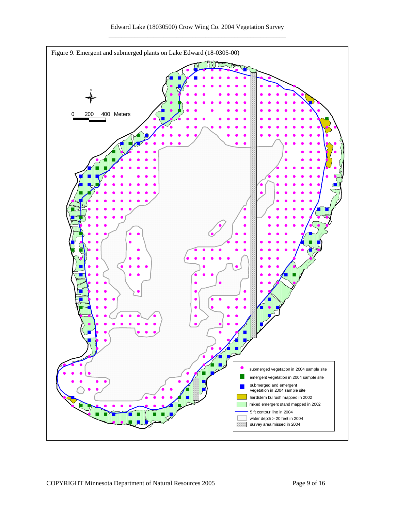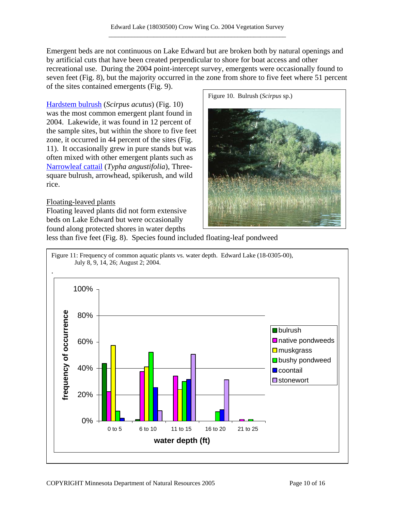Emergent beds are not continuous on Lake Edward but are broken both by natural openings and by artificial cuts that have been created perpendicular to shore for boat access and other recreational use. During the 2004 point-intercept survey, emergents were occasionally found to seven feet (Fig. 8), but the majority occurred in the zone from shore to five feet where 51 percent of the sites contained emergents (Fig. 9).

[Hardstem bulrush](http://www.dnr.state.mn.us/aquatic_plants/emergent_plants/bulrushes.html) (*Scirpus acutus*) (Fig. 10) was the most common emergent plant found in 2004. Lakewide, it was found in 12 percent of the sample sites, but within the shore to five feet zone, it occurred in 44 percent of the sites (Fig. 11). It occasionally grew in pure stands but was often mixed with other emergent plants such as [Narrowleaf cattail](http://www.dnr.state.mn.us/aquatic_plants/emergent_plants/cattails.html) (*Typha angustifolia*), Threesquare bulrush, arrowhead, spikerush, and wild rice.

### Floating-leaved plants

Floating leaved plants did not form extensive beds on Lake Edward but were occasionally found along protected shores in water depths



less than five feet (Fig. 8). Species found included floating-leaf pondweed

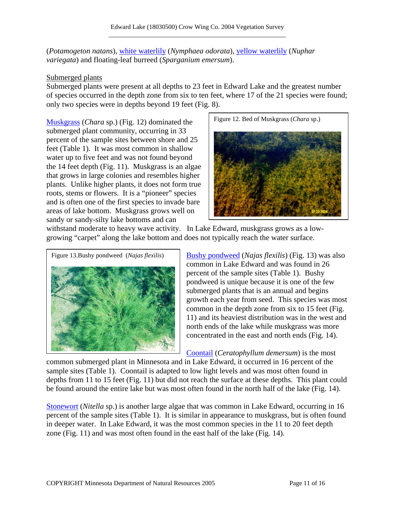(*Potamogeton natans*), [white waterlily](http://www.dnr.state.mn.us/aquatic_plants/floatingleaf_plants/white_water_lily.html) (*Nymphaea odorata*), [yellow waterlily](http://www.dnr.state.mn.us/aquatic_plants/floatingleaf_plants/spatterdock.html) (*Nuphar variegata*) and floating-leaf burreed (*Sparganium emersum*).

# Submerged plants

Submerged plants were present at all depths to 23 feet in Edward Lake and the greatest number of species occurred in the depth zone from six to ten feet, where 17 of the 21 species were found; only two species were in depths beyond 19 feet (Fig. 8).

[Muskgrass](http://www.dnr.state.mn.us/aquatic_plants/algae/chara.html) (*Chara* sp.) (Fig. 12) dominated the submerged plant community, occurring in 33 percent of the sample sites between shore and 25 feet (Table 1). It was most common in shallow water up to five feet and was not found beyond the 14 feet depth (Fig. 11). Muskgrass is an algae that grows in large colonies and resembles higher plants. Unlike higher plants, it does not form true roots, stems or flowers. It is a "pioneer" species and is often one of the first species to invade bare areas of lake bottom. Muskgrass grows well on sandy or sandy-silty lake bottoms and can

![](_page_10_Figure_5.jpeg)

withstand moderate to heavy wave activity.In Lake Edward, muskgrass grows as a lowgrowing "carpet" along the lake bottom and does not typically reach the water surface.

![](_page_10_Figure_7.jpeg)

[Bushy pondweed](http://www.dnr.state.mn.us/aquatic_plants/submerged_plants/bushy_pondweeds.html) (*Najas flexilis*) (Fig. 13) was also common in Lake Edward and was found in 26 percent of the sample sites (Table 1). Bushy pondweed is unique because it is one of the few submerged plants that is an annual and begins growth each year from seed. This species was most common in the depth zone from six to 15 feet (Fig. 11) and its heaviest distribution was in the west and north ends of the lake while muskgrass was more concentrated in the east and north ends (Fig. 14).

# [Coontail](http://www.dnr.state.mn.us/aquatic_plants/submerged_plants/coontail.html) (*Ceratophyllum demersum*) is the most

common submerged plant in Minnesota and in Lake Edward, it occurred in 16 percent of the sample sites (Table 1). Coontail is adapted to low light levels and was most often found in depths from 11 to 15 feet (Fig. 11) but did not reach the surface at these depths. This plant could be found around the entire lake but was most often found in the north half of the lake (Fig. 14).

[Stonewort](http://www.dnr.state.mn.us/aquatic_plants/algae/stonewort.html) (*Nitella* sp.) is another large algae that was common in Lake Edward, occurring in 16 percent of the sample sites (Table 1). It is similar in appearance to muskgrass, but is often found in deeper water. In Lake Edward, it was the most common species in the 11 to 20 feet depth zone (Fig. 11) and was most often found in the east half of the lake (Fig. 14).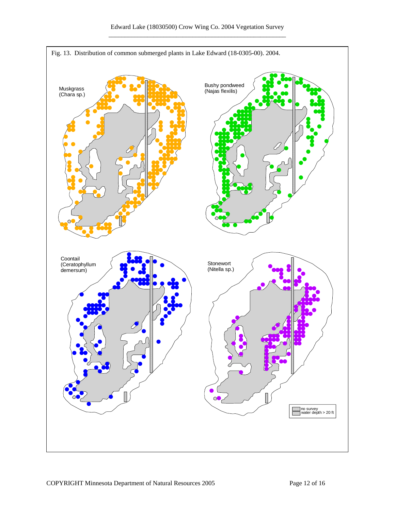![](_page_11_Figure_1.jpeg)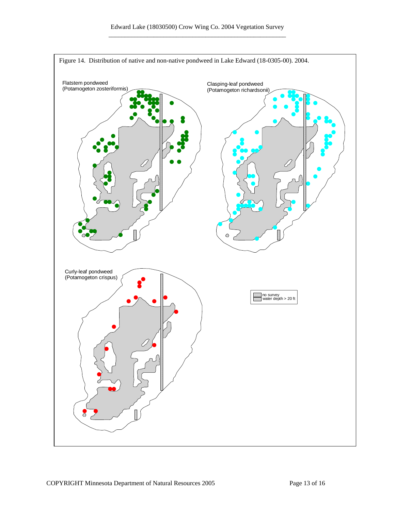![](_page_12_Figure_1.jpeg)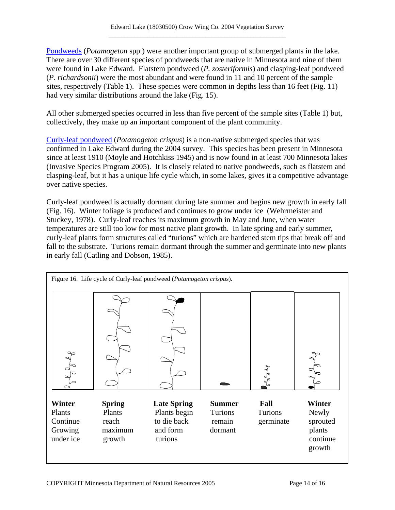[Pondweeds](http://www.dnr.state.mn.us/aquatic_plants/submerged_plants/broadleaf_pondweeds.html) (*Potamogeton* spp.) were another important group of submerged plants in the lake. There are over 30 different species of pondweeds that are native in Minnesota and nine of them were found in Lake Edward. Flatstem pondweed (*P. zosteriformis*) and clasping-leaf pondweed (*P*. *richardsonii*) were the most abundant and were found in 11 and 10 percent of the sample sites, respectively (Table 1). These species were common in depths less than 16 feet (Fig. 11) had very similar distributions around the lake (Fig. 15).

All other submerged species occurred in less than five percent of the sample sites (Table 1) but, collectively, they make up an important component of the plant community.

[Curly-leaf pondweed](http://www.dnr.state.mn.us/aquatic_plants/submerged_plants/curlyleaf_pondweed.html) (*Potamogeton crispus*) is a non-native submerged species that was confirmed in Lake Edward during the 2004 survey. This species has been present in Minnesota since at least 1910 (Moyle and Hotchkiss 1945) and is now found in at least 700 Minnesota lakes (Invasive Species Program 2005). It is closely related to native pondweeds, such as flatstem and clasping-leaf, but it has a unique life cycle which, in some lakes, gives it a competitive advantage over native species.

Curly-leaf pondweed is actually dormant during late summer and begins new growth in early fall (Fig. 16). Winter foliage is produced and continues to grow under ice (Wehrmeister and Stuckey, 1978). Curly-leaf reaches its maximum growth in May and June, when water temperatures are still too low for most native plant growth. In late spring and early summer, curly-leaf plants form structures called "turions" which are hardened stem tips that break off and fall to the substrate. Turions remain dormant through the summer and germinate into new plants in early fall (Catling and Dobson, 1985).

![](_page_13_Figure_5.jpeg)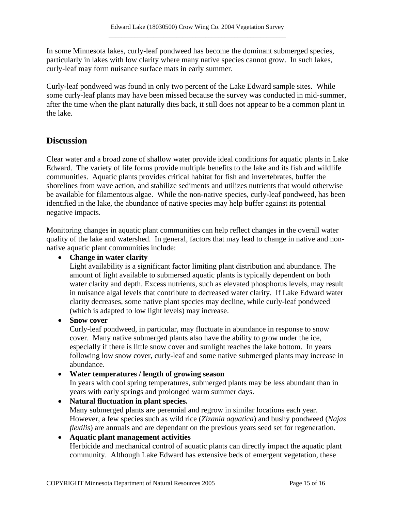In some Minnesota lakes, curly-leaf pondweed has become the dominant submerged species, particularly in lakes with low clarity where many native species cannot grow. In such lakes, curly-leaf may form nuisance surface mats in early summer.

Curly-leaf pondweed was found in only two percent of the Lake Edward sample sites. While some curly-leaf plants may have been missed because the survey was conducted in mid-summer, after the time when the plant naturally dies back, it still does not appear to be a common plant in the lake.

# **Discussion**

Clear water and a broad zone of shallow water provide ideal conditions for aquatic plants in Lake Edward. The variety of life forms provide multiple benefits to the lake and its fish and wildlife communities. Aquatic plants provides critical habitat for fish and invertebrates, buffer the shorelines from wave action, and stabilize sediments and utilizes nutrients that would otherwise be available for filamentous algae. While the non-native species, curly-leaf pondweed, has been identified in the lake, the abundance of native species may help buffer against its potential negative impacts.

Monitoring changes in aquatic plant communities can help reflect changes in the overall water quality of the lake and watershed. In general, factors that may lead to change in native and nonnative aquatic plant communities include:

# • **Change in water clarity**

Light availability is a significant factor limiting plant distribution and abundance. The amount of light available to submersed aquatic plants is typically dependent on both water clarity and depth. Excess nutrients, such as elevated phosphorus levels, may result in nuisance algal levels that contribute to decreased water clarity. If Lake Edward water clarity decreases, some native plant species may decline, while curly-leaf pondweed (which is adapted to low light levels) may increase.

### • **Snow cover**

Curly-leaf pondweed, in particular, may fluctuate in abundance in response to snow cover. Many native submerged plants also have the ability to grow under the ice, especially if there is little snow cover and sunlight reaches the lake bottom. In years following low snow cover, curly-leaf and some native submerged plants may increase in abundance.

# • **Water temperatures / length of growing season**

In years with cool spring temperatures, submerged plants may be less abundant than in years with early springs and prolonged warm summer days.

• **Natural fluctuation in plant species.**  Many submerged plants are perennial and regrow in similar locations each year. However, a few species such as wild rice (*Zizania aquatica*) and bushy pondweed (*Najas flexilis*) are annuals and are dependant on the previous years seed set for regeneration.

# • **Aquatic plant management activities**

Herbicide and mechanical control of aquatic plants can directly impact the aquatic plant community. Although Lake Edward has extensive beds of emergent vegetation, these